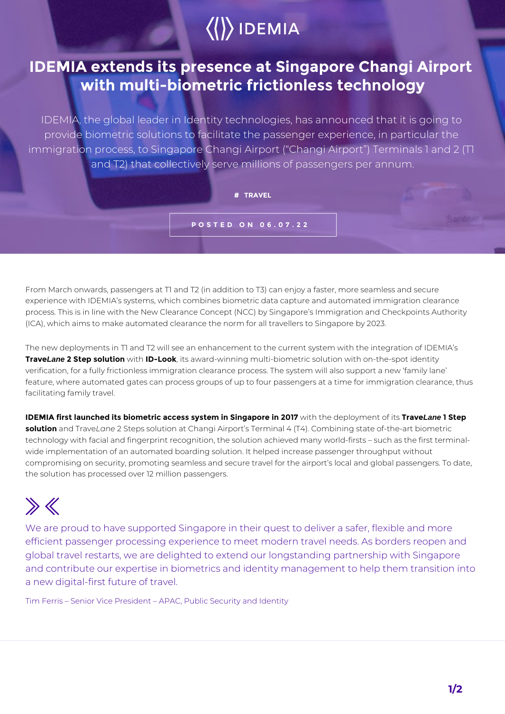## $\langle\langle\rangle\rangle$  IDEMIA

## **IDEMIA extends its presence at Singapore Changi Airport with multi-biometric frictionless technology**

IDEMIA, the global leader in Identity technologies, has announced that it is going to provide biometric solutions to facilitate the passenger experience, in particular the immigration process, to Singapore Changi Airport ("Changi Airport") Terminals 1 and 2 (T1 and T2) that collectively serve millions of passengers per annum.

**# TRAVEL**

**POSTED ON 06.07.22**

From March onwards, passengers at T1 and T2 (in addition to T3) can enjoy a faster, more seamless and secure experience with IDEMIA's systems, which combines biometric data capture and automated immigration clearance process. This is in line with the New Clearance Concept (NCC) by Singapore's Immigration and Checkpoints Authority (ICA), which aims to make automated clearance the norm for all travellers to Singapore by 2023.

The new deployments in T1 and T2 will see an enhancement to the current system with the integration of IDEMIA's **TraveLane 2 Step solution** with **ID-Look**™, its award-winning multi-biometric solution with on-the-spot identity verification, for a fully frictionless immigration clearance process. The system will also support a new 'family lane' feature, where automated gates can process groups of up to four passengers at a time for immigration clearance, thus facilitating family travel.

**IDEMIA first launched its biometric access system in Singapore in 2017** with the deployment of its **TraveLane 1 Step solution** and Trave*Lane* 2 Steps solution at Changi Airport's Terminal 4 (T4). Combining state of-the-art biometric technology with facial and fingerprint recognition, the solution achieved many world-firsts – such as the first terminalwide implementation of an automated boarding solution. It helped increase passenger throughput without compromising on security, promoting seamless and secure travel for the airport's local and global passengers. To date, the solution has processed over 12 million passengers.

## $\gg K$

We are proud to have supported Singapore in their quest to deliver a safer, flexible and more efficient passenger processing experience to meet modern travel needs. As borders reopen and global travel restarts, we are delighted to extend our longstanding partnership with Singapore and contribute our expertise in biometrics and identity management to help them transition into a new digital-first future of travel.

Tim Ferris – Senior Vice President – APAC, Public Security and Identity